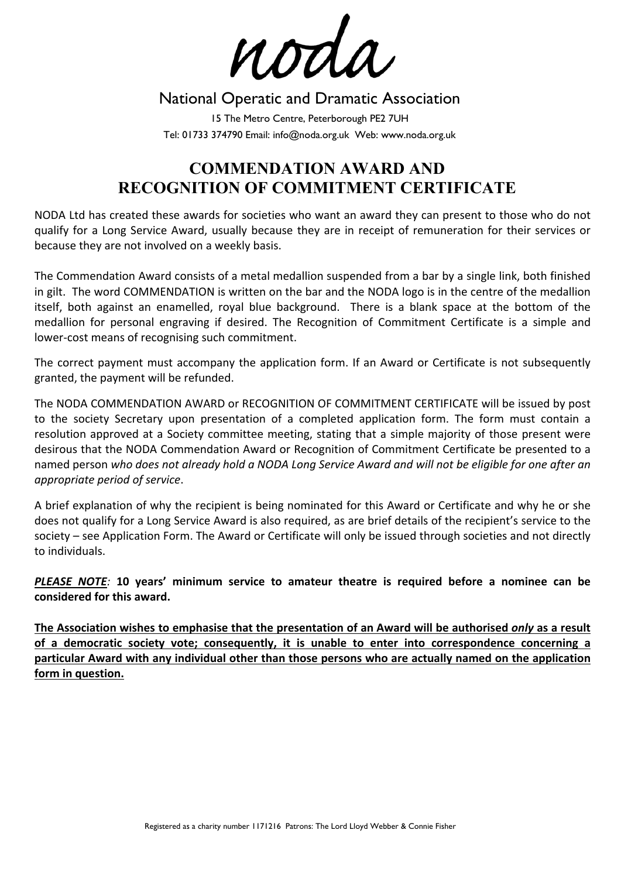noda

## National Operatic and Dramatic Association

15 The Metro Centre, Peterborough PE2 7UH Tel: 01733 374790 Email: info@noda.org.uk Web: www.noda.org.uk

# **COMMENDATION AWARD AND RECOGNITION OF COMMITMENT CERTIFICATE**

NODA Ltd has created these awards for societies who want an award they can present to those who do not qualify for a Long Service Award, usually because they are in receipt of remuneration for their services or because they are not involved on a weekly basis.

The Commendation Award consists of a metal medallion suspended from a bar by a single link, both finished in gilt. The word COMMENDATION is written on the bar and the NODA logo is in the centre of the medallion itself, both against an enamelled, royal blue background. There is a blank space at the bottom of the medallion for personal engraving if desired. The Recognition of Commitment Certificate is a simple and lower‐cost means of recognising such commitment.

The correct payment must accompany the application form. If an Award or Certificate is not subsequently granted, the payment will be refunded.

The NODA COMMENDATION AWARD or RECOGNITION OF COMMITMENT CERTIFICATE will be issued by post to the society Secretary upon presentation of a completed application form. The form must contain a resolution approved at a Society committee meeting, stating that a simple majority of those present were desirous that the NODA Commendation Award or Recognition of Commitment Certificate be presented to a named person *who does not already hold a NODA Long Service Award and will not be eligible for one after an appropriate period of service*.

A brief explanation of why the recipient is being nominated for this Award or Certificate and why he or she does not qualify for a Long Service Award is also required, as are brief details of the recipient's service to the society – see Application Form. The Award or Certificate will only be issued through societies and not directly to individuals.

*PLEASE NOTE:*  **10 years' minimum service to amateur theatre is required before a nominee can be considered for this award.** 

**The Association wishes to emphasise that the presentation of an Award will be authorised** *only* **as a result of a democratic society vote; consequently, it is unable to enter into correspondence concerning a particular Award with any individual other than those persons who are actually named on the application form in question.**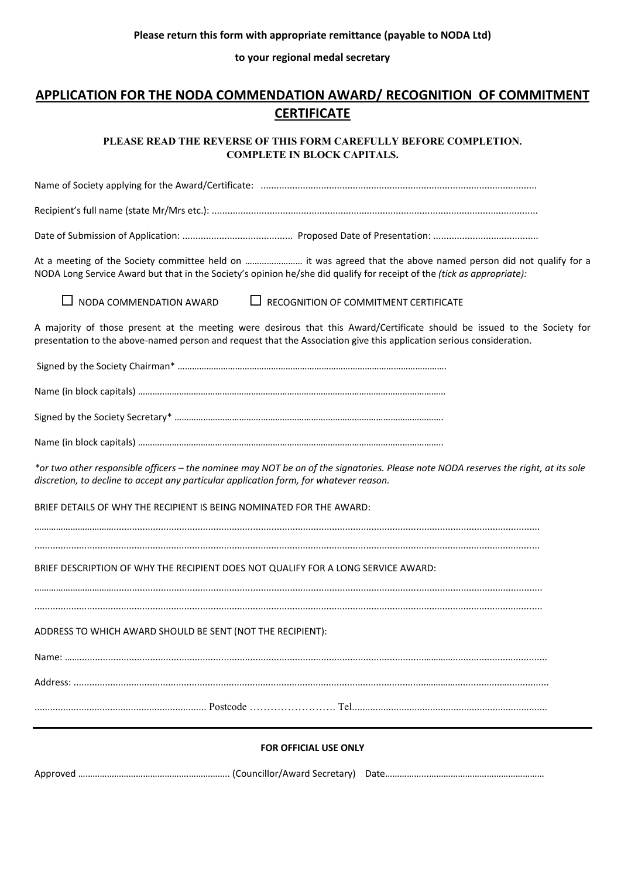**to your regional medal secretary**

### **APPLICATION FOR THE NODA COMMENDATION AWARD/ RECOGNITION OF COMMITMENT CERTIFICATE**

**PLEASE READ THE REVERSE OF THIS FORM CAREFULLY BEFORE COMPLETION. COMPLETE IN BLOCK CAPITALS.** 

Name of Society applying for the Award/Certificate: ......................................................................................................... Recipient's full name (state Mr/Mrs etc.): ............................................................................................................................

Date of Submission of Application: .......................................... Proposed Date of Presentation: ........................................

At a meeting of the Society committee held on …………………… it was agreed that the above named person did not qualify for a NODA Long Service Award but that in the Society's opinion he/she did qualify for receipt of the *(tick as appropriate):* 

 $\Box$  NODA COMMENDATION AWARD  $\Box$  RECOGNITION OF COMMITMENT CERTIFICATE

A majority of those present at the meeting were desirous that this Award/Certificate should be issued to the Society for presentation to the above‐named person and request that the Association give this application serious consideration.

Signed by the Society Chairman\* ………………………………………………………………………………………………….

Name (in block capitals) ………..………………………………………………………………………………………………………

Signed by the Society Secretary\* ………………………………………………………………………………………………….

Name (in block capitals) ………..……………………………………………………………………………………………………..

*\*or two other responsible officers – the nominee may NOT be on of the signatories. Please note NODA reserves the right, at its sole discretion, to decline to accept any particular application form, for whatever reason.* 

BRIEF DETAILS OF WHY THE RECIPIENT IS BEING NOMINATED FOR THE AWARD:

……………………………..................................................................................................................................................................

................................................................................................................................................................................................

BRIEF DESCRIPTION OF WHY THE RECIPIENT DOES NOT QUALIFY FOR A LONG SERVICE AWARD:

……………………………...................................................................................................................................................................

.................................................................................................................................................................................................

ADDRESS TO WHICH AWARD SHOULD BE SENT (NOT THE RECIPIENT):

Name: ……...................................................................................................................................…………....................................

Address: ......................................................................................................................................………….................…................

.................................................................. Postcode ……………………. Tel...........................................................................

#### **FOR OFFICIAL USE ONLY**

Approved ……………………………………….…………….. (Councillor/Award Secretary) Date……………...…………………………………………